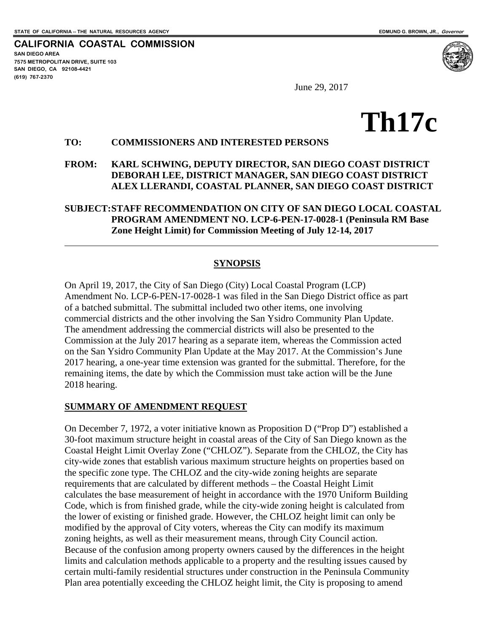**CALIFORNIA COASTAL COMMISSION SAN DIEGO AREA 7575 METROPOLITAN DRIVE, SUITE 103 SAN DIEGO, CA 92108-4421 (619) 767-2370**

 $\overline{a}$ 

June 29, 2017

# **Th17c**

#### **TO: COMMISSIONERS AND INTERESTED PERSONS**

#### **FROM: KARL SCHWING, DEPUTY DIRECTOR, SAN DIEGO COAST DISTRICT DEBORAH LEE, DISTRICT MANAGER, SAN DIEGO COAST DISTRICT ALEX LLERANDI, COASTAL PLANNER, SAN DIEGO COAST DISTRICT**

#### **SUBJECT:STAFF RECOMMENDATION ON CITY OF SAN DIEGO LOCAL COASTAL PROGRAM AMENDMENT NO. LCP-6-PEN-17-0028-1 (Peninsula RM Base Zone Height Limit) for Commission Meeting of July 12-14, 2017**

#### **SYNOPSIS**

On April 19, 2017, the City of San Diego (City) Local Coastal Program (LCP) Amendment No. LCP-6-PEN-17-0028-1 was filed in the San Diego District office as part of a batched submittal. The submittal included two other items, one involving commercial districts and the other involving the San Ysidro Community Plan Update. The amendment addressing the commercial districts will also be presented to the Commission at the July 2017 hearing as a separate item, whereas the Commission acted on the San Ysidro Community Plan Update at the May 2017. At the Commission's June 2017 hearing, a one-year time extension was granted for the submittal. Therefore, for the remaining items, the date by which the Commission must take action will be the June 2018 hearing.

#### **SUMMARY OF AMENDMENT REQUEST**

On December 7, 1972, a voter initiative known as Proposition D ("Prop D") established a 30-foot maximum structure height in coastal areas of the City of San Diego known as the Coastal Height Limit Overlay Zone ("CHLOZ"). Separate from the CHLOZ, the City has city-wide zones that establish various maximum structure heights on properties based on the specific zone type. The CHLOZ and the city-wide zoning heights are separate requirements that are calculated by different methods – the Coastal Height Limit calculates the base measurement of height in accordance with the 1970 Uniform Building Code, which is from finished grade, while the city-wide zoning height is calculated from the lower of existing or finished grade. However, the CHLOZ height limit can only be modified by the approval of City voters, whereas the City can modify its maximum zoning heights, as well as their measurement means, through City Council action. Because of the confusion among property owners caused by the differences in the height limits and calculation methods applicable to a property and the resulting issues caused by certain multi-family residential structures under construction in the Peninsula Community Plan area potentially exceeding the CHLOZ height limit, the City is proposing to amend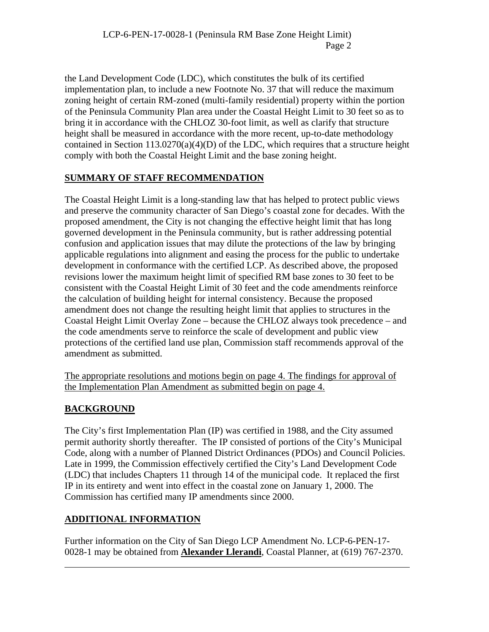the Land Development Code (LDC), which constitutes the bulk of its certified implementation plan, to include a new Footnote No. 37 that will reduce the maximum zoning height of certain RM-zoned (multi-family residential) property within the portion of the Peninsula Community Plan area under the Coastal Height Limit to 30 feet so as to bring it in accordance with the CHLOZ 30-foot limit, as well as clarify that structure height shall be measured in accordance with the more recent, up-to-date methodology contained in Section  $113.0270(a)(4)(D)$  of the LDC, which requires that a structure height comply with both the Coastal Height Limit and the base zoning height.

# **SUMMARY OF STAFF RECOMMENDATION**

The Coastal Height Limit is a long-standing law that has helped to protect public views and preserve the community character of San Diego's coastal zone for decades. With the proposed amendment, the City is not changing the effective height limit that has long governed development in the Peninsula community, but is rather addressing potential confusion and application issues that may dilute the protections of the law by bringing applicable regulations into alignment and easing the process for the public to undertake development in conformance with the certified LCP. As described above, the proposed revisions lower the maximum height limit of specified RM base zones to 30 feet to be consistent with the Coastal Height Limit of 30 feet and the code amendments reinforce the calculation of building height for internal consistency. Because the proposed amendment does not change the resulting height limit that applies to structures in the Coastal Height Limit Overlay Zone – because the CHLOZ always took precedence – and the code amendments serve to reinforce the scale of development and public view protections of the certified land use plan, Commission staff recommends approval of the amendment as submitted.

The appropriate resolutions and motions begin on page 4. The findings for approval of the Implementation Plan Amendment as submitted begin on page 4.

# **BACKGROUND**

 $\overline{a}$ 

The City's first Implementation Plan (IP) was certified in 1988, and the City assumed permit authority shortly thereafter. The IP consisted of portions of the City's Municipal Code, along with a number of Planned District Ordinances (PDOs) and Council Policies. Late in 1999, the Commission effectively certified the City's Land Development Code (LDC) that includes Chapters 11 through 14 of the municipal code. It replaced the first IP in its entirety and went into effect in the coastal zone on January 1, 2000. The Commission has certified many IP amendments since 2000.

# **ADDITIONAL INFORMATION**

Further information on the City of San Diego LCP Amendment No. LCP-6-PEN-17- 0028-1 may be obtained from **Alexander Llerandi**, Coastal Planner, at (619) 767-2370.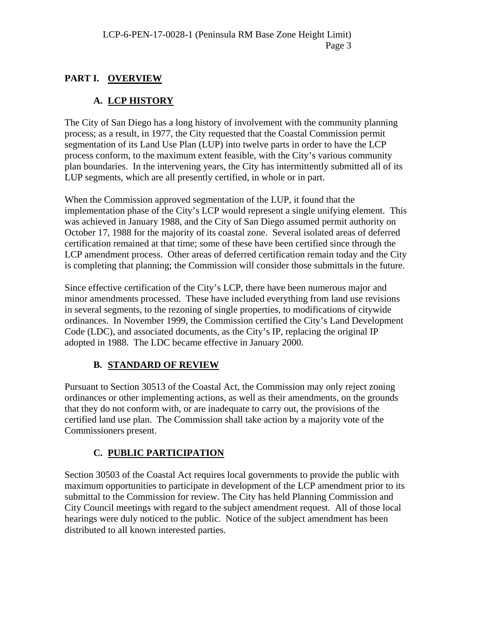# **PART I. OVERVIEW**

# **A. LCP HISTORY**

The City of San Diego has a long history of involvement with the community planning process; as a result, in 1977, the City requested that the Coastal Commission permit segmentation of its Land Use Plan (LUP) into twelve parts in order to have the LCP process conform, to the maximum extent feasible, with the City's various community plan boundaries. In the intervening years, the City has intermittently submitted all of its LUP segments, which are all presently certified, in whole or in part.

When the Commission approved segmentation of the LUP, it found that the implementation phase of the City's LCP would represent a single unifying element. This was achieved in January 1988, and the City of San Diego assumed permit authority on October 17, 1988 for the majority of its coastal zone. Several isolated areas of deferred certification remained at that time; some of these have been certified since through the LCP amendment process. Other areas of deferred certification remain today and the City is completing that planning; the Commission will consider those submittals in the future.

Since effective certification of the City's LCP, there have been numerous major and minor amendments processed. These have included everything from land use revisions in several segments, to the rezoning of single properties, to modifications of citywide ordinances. In November 1999, the Commission certified the City's Land Development Code (LDC), and associated documents, as the City's IP, replacing the original IP adopted in 1988. The LDC became effective in January 2000.

### **B. STANDARD OF REVIEW**

Pursuant to Section 30513 of the Coastal Act, the Commission may only reject zoning ordinances or other implementing actions, as well as their amendments, on the grounds that they do not conform with, or are inadequate to carry out, the provisions of the certified land use plan. The Commission shall take action by a majority vote of the Commissioners present.

### **C. PUBLIC PARTICIPATION**

Section 30503 of the Coastal Act requires local governments to provide the public with maximum opportunities to participate in development of the LCP amendment prior to its submittal to the Commission for review. The City has held Planning Commission and City Council meetings with regard to the subject amendment request. All of those local hearings were duly noticed to the public. Notice of the subject amendment has been distributed to all known interested parties.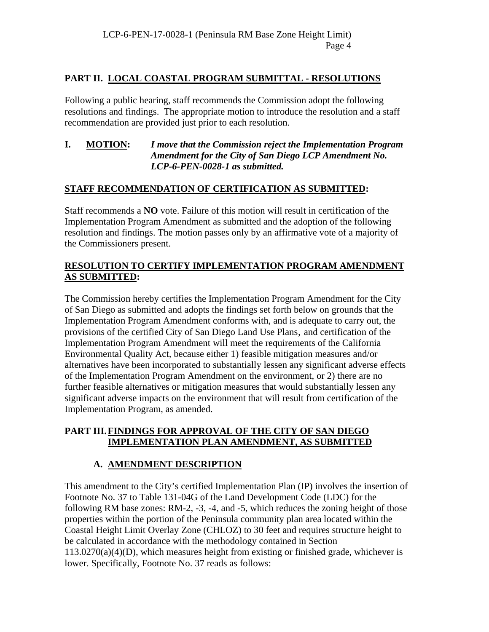#### **PART II. LOCAL COASTAL PROGRAM SUBMITTAL - RESOLUTIONS**

Following a public hearing, staff recommends the Commission adopt the following resolutions and findings. The appropriate motion to introduce the resolution and a staff recommendation are provided just prior to each resolution.

#### **I. MOTION:** *I move that the Commission reject the Implementation Program Amendment for the City of San Diego LCP Amendment No. LCP-6-PEN-0028-1 as submitted.*

#### **STAFF RECOMMENDATION OF CERTIFICATION AS SUBMITTED:**

Staff recommends a **NO** vote. Failure of this motion will result in certification of the Implementation Program Amendment as submitted and the adoption of the following resolution and findings. The motion passes only by an affirmative vote of a majority of the Commissioners present.

#### **RESOLUTION TO CERTIFY IMPLEMENTATION PROGRAM AMENDMENT AS SUBMITTED:**

The Commission hereby certifies the Implementation Program Amendment for the City of San Diego as submitted and adopts the findings set forth below on grounds that the Implementation Program Amendment conforms with, and is adequate to carry out, the provisions of the certified City of San Diego Land Use Plans, and certification of the Implementation Program Amendment will meet the requirements of the California Environmental Quality Act, because either 1) feasible mitigation measures and/or alternatives have been incorporated to substantially lessen any significant adverse effects of the Implementation Program Amendment on the environment, or 2) there are no further feasible alternatives or mitigation measures that would substantially lessen any significant adverse impacts on the environment that will result from certification of the Implementation Program, as amended.

#### **PART III.FINDINGS FOR APPROVAL OF THE CITY OF SAN DIEGO IMPLEMENTATION PLAN AMENDMENT, AS SUBMITTED**

### **A. AMENDMENT DESCRIPTION**

This amendment to the City's certified Implementation Plan (IP) involves the insertion of Footnote No. 37 to Table 131-04G of the Land Development Code (LDC) for the following RM base zones: RM-2, -3, -4, and -5, which reduces the zoning height of those properties within the portion of the Peninsula community plan area located within the Coastal Height Limit Overlay Zone (CHLOZ) to 30 feet and requires structure height to be calculated in accordance with the methodology contained in Section  $113.0270(a)(4)(D)$ , which measures height from existing or finished grade, whichever is lower. Specifically, Footnote No. 37 reads as follows: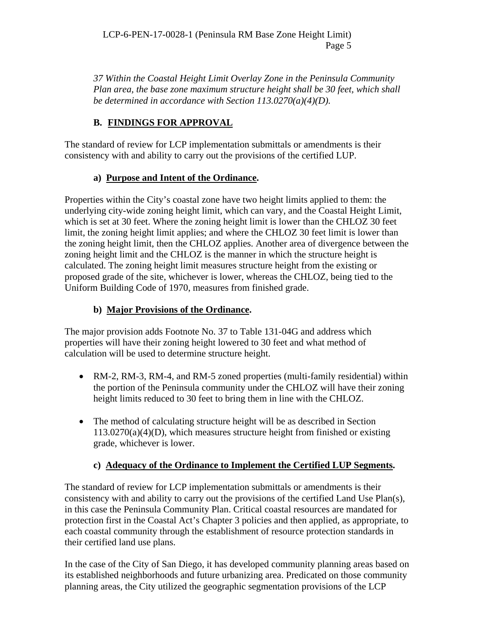*37 Within the Coastal Height Limit Overlay Zone in the Peninsula Community Plan area, the base zone maximum structure height shall be 30 feet, which shall be determined in accordance with Section 113.0270(a)(4)(D).* 

# **B. FINDINGS FOR APPROVAL**

The standard of review for LCP implementation submittals or amendments is their consistency with and ability to carry out the provisions of the certified LUP.

### **a) Purpose and Intent of the Ordinance.**

Properties within the City's coastal zone have two height limits applied to them: the underlying city-wide zoning height limit, which can vary, and the Coastal Height Limit, which is set at 30 feet. Where the zoning height limit is lower than the CHLOZ 30 feet limit, the zoning height limit applies; and where the CHLOZ 30 feet limit is lower than the zoning height limit, then the CHLOZ applies. Another area of divergence between the zoning height limit and the CHLOZ is the manner in which the structure height is calculated. The zoning height limit measures structure height from the existing or proposed grade of the site, whichever is lower, whereas the CHLOZ, being tied to the Uniform Building Code of 1970, measures from finished grade.

#### **b) Major Provisions of the Ordinance.**

The major provision adds Footnote No. 37 to Table 131-04G and address which properties will have their zoning height lowered to 30 feet and what method of calculation will be used to determine structure height.

- RM-2, RM-3, RM-4, and RM-5 zoned properties (multi-family residential) within the portion of the Peninsula community under the CHLOZ will have their zoning height limits reduced to 30 feet to bring them in line with the CHLOZ.
- The method of calculating structure height will be as described in Section  $113.0270(a)(4)(D)$ , which measures structure height from finished or existing grade, whichever is lower.

### **c) Adequacy of the Ordinance to Implement the Certified LUP Segments.**

The standard of review for LCP implementation submittals or amendments is their consistency with and ability to carry out the provisions of the certified Land Use Plan(s), in this case the Peninsula Community Plan. Critical coastal resources are mandated for protection first in the Coastal Act's Chapter 3 policies and then applied, as appropriate, to each coastal community through the establishment of resource protection standards in their certified land use plans.

In the case of the City of San Diego, it has developed community planning areas based on its established neighborhoods and future urbanizing area. Predicated on those community planning areas, the City utilized the geographic segmentation provisions of the LCP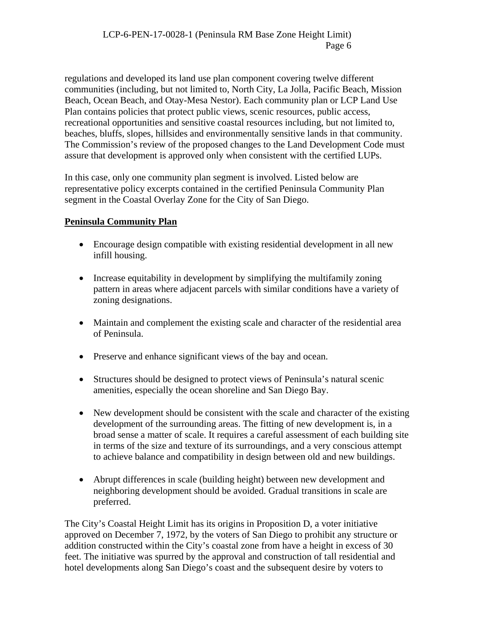regulations and developed its land use plan component covering twelve different communities (including, but not limited to, North City, La Jolla, Pacific Beach, Mission Beach, Ocean Beach, and Otay-Mesa Nestor). Each community plan or LCP Land Use Plan contains policies that protect public views, scenic resources, public access, recreational opportunities and sensitive coastal resources including, but not limited to, beaches, bluffs, slopes, hillsides and environmentally sensitive lands in that community. The Commission's review of the proposed changes to the Land Development Code must assure that development is approved only when consistent with the certified LUPs.

In this case, only one community plan segment is involved. Listed below are representative policy excerpts contained in the certified Peninsula Community Plan segment in the Coastal Overlay Zone for the City of San Diego.

#### **Peninsula Community Plan**

- Encourage design compatible with existing residential development in all new infill housing.
- Increase equitability in development by simplifying the multifamily zoning pattern in areas where adjacent parcels with similar conditions have a variety of zoning designations.
- Maintain and complement the existing scale and character of the residential area of Peninsula.
- Preserve and enhance significant views of the bay and ocean.
- Structures should be designed to protect views of Peninsula's natural scenic amenities, especially the ocean shoreline and San Diego Bay.
- New development should be consistent with the scale and character of the existing development of the surrounding areas. The fitting of new development is, in a broad sense a matter of scale. It requires a careful assessment of each building site in terms of the size and texture of its surroundings, and a very conscious attempt to achieve balance and compatibility in design between old and new buildings.
- Abrupt differences in scale (building height) between new development and neighboring development should be avoided. Gradual transitions in scale are preferred.

The City's Coastal Height Limit has its origins in Proposition D, a voter initiative approved on December 7, 1972, by the voters of San Diego to prohibit any structure or addition constructed within the City's coastal zone from have a height in excess of 30 feet. The initiative was spurred by the approval and construction of tall residential and hotel developments along San Diego's coast and the subsequent desire by voters to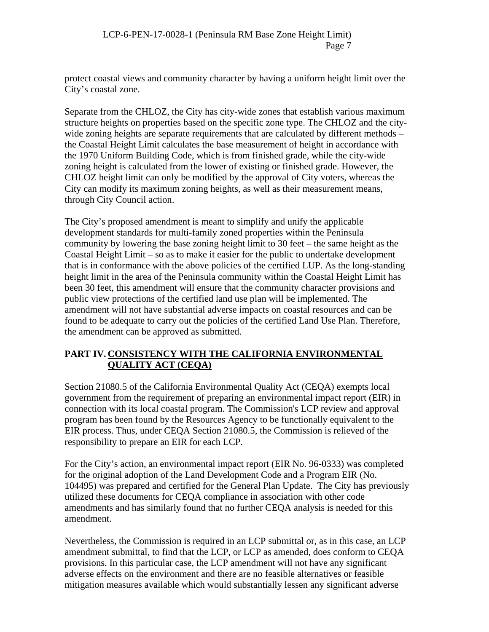protect coastal views and community character by having a uniform height limit over the City's coastal zone.

Separate from the CHLOZ, the City has city-wide zones that establish various maximum structure heights on properties based on the specific zone type. The CHLOZ and the citywide zoning heights are separate requirements that are calculated by different methods – the Coastal Height Limit calculates the base measurement of height in accordance with the 1970 Uniform Building Code, which is from finished grade, while the city-wide zoning height is calculated from the lower of existing or finished grade. However, the CHLOZ height limit can only be modified by the approval of City voters, whereas the City can modify its maximum zoning heights, as well as their measurement means, through City Council action.

The City's proposed amendment is meant to simplify and unify the applicable development standards for multi-family zoned properties within the Peninsula community by lowering the base zoning height limit to 30 feet – the same height as the Coastal Height Limit – so as to make it easier for the public to undertake development that is in conformance with the above policies of the certified LUP. As the long-standing height limit in the area of the Peninsula community within the Coastal Height Limit has been 30 feet, this amendment will ensure that the community character provisions and public view protections of the certified land use plan will be implemented. The amendment will not have substantial adverse impacts on coastal resources and can be found to be adequate to carry out the policies of the certified Land Use Plan. Therefore, the amendment can be approved as submitted.

### **PART IV. CONSISTENCY WITH THE CALIFORNIA ENVIRONMENTAL QUALITY ACT (CEQA)**

Section 21080.5 of the California Environmental Quality Act (CEQA) exempts local government from the requirement of preparing an environmental impact report (EIR) in connection with its local coastal program. The Commission's LCP review and approval program has been found by the Resources Agency to be functionally equivalent to the EIR process. Thus, under CEQA Section 21080.5, the Commission is relieved of the responsibility to prepare an EIR for each LCP.

For the City's action, an environmental impact report (EIR No. 96-0333) was completed for the original adoption of the Land Development Code and a Program EIR (No. 104495) was prepared and certified for the General Plan Update. The City has previously utilized these documents for CEQA compliance in association with other code amendments and has similarly found that no further CEQA analysis is needed for this amendment.

Nevertheless, the Commission is required in an LCP submittal or, as in this case, an LCP amendment submittal, to find that the LCP, or LCP as amended, does conform to CEQA provisions. In this particular case, the LCP amendment will not have any significant adverse effects on the environment and there are no feasible alternatives or feasible mitigation measures available which would substantially lessen any significant adverse